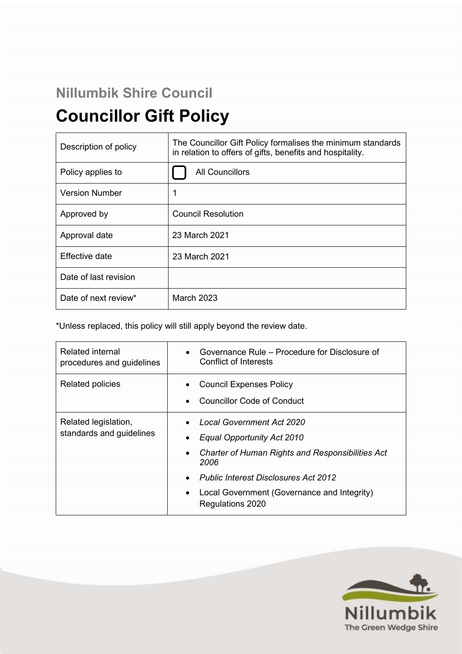# **Nillumbik Shire Council Councillor Gift Policy**

| Description of policy | The Councillor Gift Policy formalises the minimum standards<br>in relation to offers of gifts, benefits and hospitality. |  |
|-----------------------|--------------------------------------------------------------------------------------------------------------------------|--|
| Policy applies to     | <b>All Councillors</b>                                                                                                   |  |
| <b>Version Number</b> |                                                                                                                          |  |
| Approved by           | <b>Council Resolution</b>                                                                                                |  |
| Approval date         | 23 March 2021                                                                                                            |  |
| Effective date        | 23 March 2021                                                                                                            |  |
| Date of last revision |                                                                                                                          |  |
| Date of next review*  | <b>March 2023</b>                                                                                                        |  |

\*Unless replaced, this policy will still apply beyond the review date.

| <b>Related internal</b><br>procedures and guidelines | Governance Rule – Procedure for Disclosure of<br><b>Conflict of Interests</b>                                                                                                                                                                |
|------------------------------------------------------|----------------------------------------------------------------------------------------------------------------------------------------------------------------------------------------------------------------------------------------------|
| <b>Related policies</b>                              | <b>Council Expenses Policy</b><br><b>Councillor Code of Conduct</b>                                                                                                                                                                          |
| Related legislation,<br>standards and guidelines     | Local Government Act 2020<br>Equal Opportunity Act 2010<br><b>Charter of Human Rights and Responsibilities Act</b><br>2006<br><b>Public Interest Disclosures Act 2012</b><br>Local Government (Governance and Integrity)<br>Regulations 2020 |

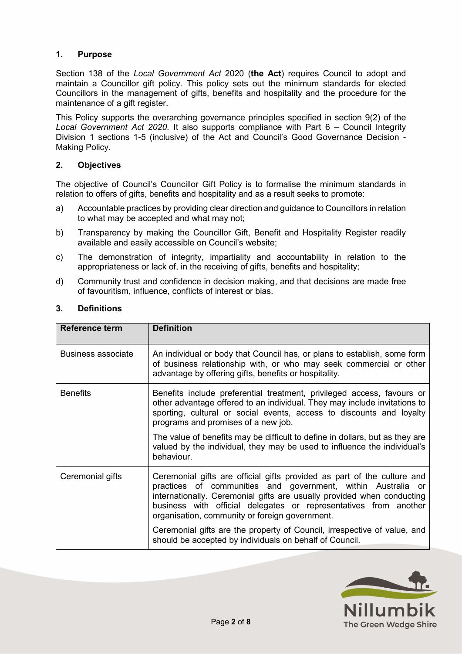# **1. Purpose**

Section 138 of the *Local Government Act* 2020 (**the Act**) requires Council to adopt and maintain a Councillor gift policy. This policy sets out the minimum standards for elected Councillors in the management of gifts, benefits and hospitality and the procedure for the maintenance of a gift register.

This Policy supports the overarching governance principles specified in section 9(2) of the *Local Government Act 2020*. It also supports compliance with Part 6 – Council Integrity Division 1 sections 1-5 (inclusive) of the Act and Council's Good Governance Decision - Making Policy.

#### **2. Objectives**

The objective of Council's Councillor Gift Policy is to formalise the minimum standards in relation to offers of gifts, benefits and hospitality and as a result seeks to promote:

- a) Accountable practices by providing clear direction and guidance to Councillors in relation to what may be accepted and what may not;
- b) Transparency by making the Councillor Gift, Benefit and Hospitality Register readily available and easily accessible on Council's website;
- c) The demonstration of integrity, impartiality and accountability in relation to the appropriateness or lack of, in the receiving of gifts, benefits and hospitality;
- d) Community trust and confidence in decision making, and that decisions are made free of favouritism, influence, conflicts of interest or bias.

| <b>Reference term</b> | <b>Definition</b>                                                                                                                                                                                                                                                                                                                       |
|-----------------------|-----------------------------------------------------------------------------------------------------------------------------------------------------------------------------------------------------------------------------------------------------------------------------------------------------------------------------------------|
| Business associate    | An individual or body that Council has, or plans to establish, some form<br>of business relationship with, or who may seek commercial or other<br>advantage by offering gifts, benefits or hospitality.                                                                                                                                 |
| <b>Benefits</b>       | Benefits include preferential treatment, privileged access, favours or<br>other advantage offered to an individual. They may include invitations to<br>sporting, cultural or social events, access to discounts and loyalty<br>programs and promises of a new job.                                                                      |
|                       | The value of benefits may be difficult to define in dollars, but as they are<br>valued by the individual, they may be used to influence the individual's<br>behaviour.                                                                                                                                                                  |
| Ceremonial gifts      | Ceremonial gifts are official gifts provided as part of the culture and<br>practices of communities and government, within Australia or<br>internationally. Ceremonial gifts are usually provided when conducting<br>business with official delegates or representatives from another<br>organisation, community or foreign government. |
|                       | Ceremonial gifts are the property of Council, irrespective of value, and<br>should be accepted by individuals on behalf of Council.                                                                                                                                                                                                     |

# **3. Definitions**

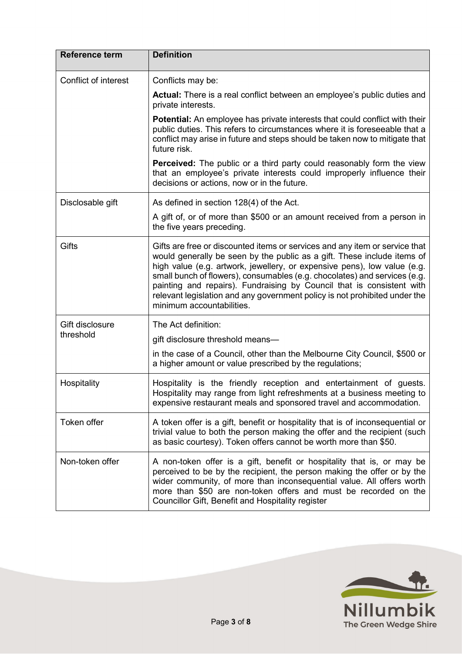| <b>Reference term</b> | <b>Definition</b>                                                                                                                                                                                                                                                                                                                                                                                                                                                                                   |
|-----------------------|-----------------------------------------------------------------------------------------------------------------------------------------------------------------------------------------------------------------------------------------------------------------------------------------------------------------------------------------------------------------------------------------------------------------------------------------------------------------------------------------------------|
| Conflict of interest  | Conflicts may be:                                                                                                                                                                                                                                                                                                                                                                                                                                                                                   |
|                       | <b>Actual:</b> There is a real conflict between an employee's public duties and<br>private interests.                                                                                                                                                                                                                                                                                                                                                                                               |
|                       | <b>Potential:</b> An employee has private interests that could conflict with their<br>public duties. This refers to circumstances where it is foreseeable that a<br>conflict may arise in future and steps should be taken now to mitigate that<br>future risk.                                                                                                                                                                                                                                     |
|                       | <b>Perceived:</b> The public or a third party could reasonably form the view<br>that an employee's private interests could improperly influence their<br>decisions or actions, now or in the future.                                                                                                                                                                                                                                                                                                |
| Disclosable gift      | As defined in section 128(4) of the Act.                                                                                                                                                                                                                                                                                                                                                                                                                                                            |
|                       | A gift of, or of more than \$500 or an amount received from a person in<br>the five years preceding.                                                                                                                                                                                                                                                                                                                                                                                                |
| <b>Gifts</b>          | Gifts are free or discounted items or services and any item or service that<br>would generally be seen by the public as a gift. These include items of<br>high value (e.g. artwork, jewellery, or expensive pens), low value (e.g.<br>small bunch of flowers), consumables (e.g. chocolates) and services (e.g.<br>painting and repairs). Fundraising by Council that is consistent with<br>relevant legislation and any government policy is not prohibited under the<br>minimum accountabilities. |
| Gift disclosure       | The Act definition:                                                                                                                                                                                                                                                                                                                                                                                                                                                                                 |
| threshold             | gift disclosure threshold means—                                                                                                                                                                                                                                                                                                                                                                                                                                                                    |
|                       | in the case of a Council, other than the Melbourne City Council, \$500 or<br>a higher amount or value prescribed by the regulations;                                                                                                                                                                                                                                                                                                                                                                |
| Hospitality           | Hospitality is the friendly reception and entertainment of guests.<br>Hospitality may range from light refreshments at a business meeting to<br>expensive restaurant meals and sponsored travel and accommodation.                                                                                                                                                                                                                                                                                  |
| Token offer           | A token offer is a gift, benefit or hospitality that is of inconsequential or<br>trivial value to both the person making the offer and the recipient (such<br>as basic courtesy). Token offers cannot be worth more than \$50.                                                                                                                                                                                                                                                                      |
| Non-token offer       | A non-token offer is a gift, benefit or hospitality that is, or may be<br>perceived to be by the recipient, the person making the offer or by the<br>wider community, of more than inconsequential value. All offers worth<br>more than \$50 are non-token offers and must be recorded on the<br>Councillor Gift, Benefit and Hospitality register                                                                                                                                                  |

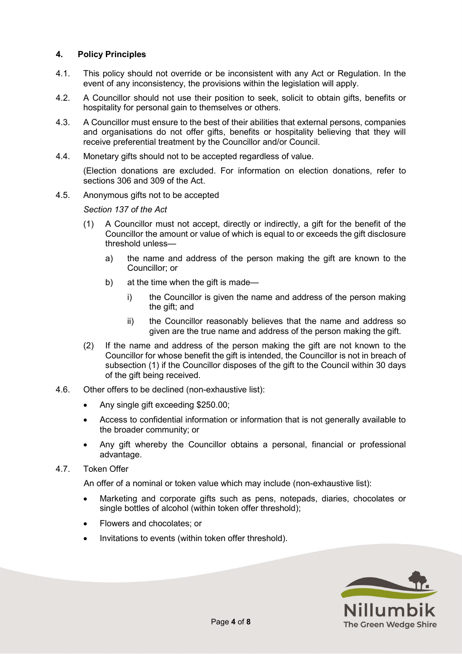### **4. Policy Principles**

- 4.1. This policy should not override or be inconsistent with any Act or Regulation. In the event of any inconsistency, the provisions within the legislation will apply.
- 4.2. A Councillor should not use their position to seek, solicit to obtain gifts, benefits or hospitality for personal gain to themselves or others.
- 4.3. A Councillor must ensure to the best of their abilities that external persons, companies and organisations do not offer gifts, benefits or hospitality believing that they will receive preferential treatment by the Councillor and/or Council.
- 4.4. Monetary gifts should not to be accepted regardless of value.

(Election donations are excluded. For information on election donations, refer to sections 306 and 309 of the Act.

4.5. Anonymous gifts not to be accepted

*Section 137 of the Act*

- (1) A Councillor must not accept, directly or indirectly, a gift for the benefit of the Councillor the amount or value of which is equal to or exceeds the gift disclosure threshold unless
	- a) the name and address of the person making the gift are known to the Councillor; or
	- b) at the time when the gift is made
		- i) the Councillor is given the name and address of the person making the gift; and
		- ii) the Councillor reasonably believes that the name and address so given are the true name and address of the person making the gift.
- (2) If the name and address of the person making the gift are not known to the Councillor for whose benefit the gift is intended, the Councillor is not in breach of subsection (1) if the Councillor disposes of the gift to the Council within 30 days of the gift being received.
- 4.6. Other offers to be declined (non-exhaustive list):
	- Any single gift exceeding \$250.00;
	- Access to confidential information or information that is not generally available to the broader community; or
	- Any gift whereby the Councillor obtains a personal, financial or professional advantage.
- 4.7. Token Offer

An offer of a nominal or token value which may include (non-exhaustive list):

- Marketing and corporate gifts such as pens, notepads, diaries, chocolates or single bottles of alcohol (within token offer threshold);
- Flowers and chocolates; or
- Invitations to events (within token offer threshold).

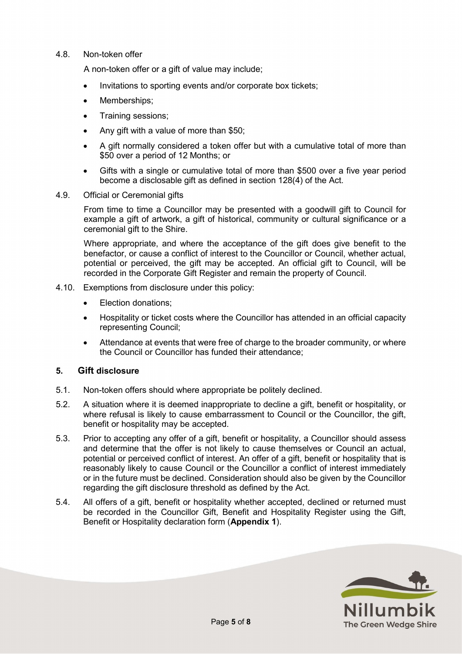#### 4.8. Non-token offer

A non-token offer or a gift of value may include;

- Invitations to sporting events and/or corporate box tickets;
- Memberships;
- Training sessions;
- Any gift with a value of more than \$50;
- A gift normally considered a token offer but with a cumulative total of more than \$50 over a period of 12 Months; or
- Gifts with a single or cumulative total of more than \$500 over a five year period become a disclosable gift as defined in section 128(4) of the Act.
- 4.9. Official or Ceremonial gifts

From time to time a Councillor may be presented with a goodwill gift to Council for example a gift of artwork, a gift of historical, community or cultural significance or a ceremonial gift to the Shire.

Where appropriate, and where the acceptance of the gift does give benefit to the benefactor, or cause a conflict of interest to the Councillor or Council, whether actual, potential or perceived, the gift may be accepted. An official gift to Council, will be recorded in the Corporate Gift Register and remain the property of Council.

- 4.10. Exemptions from disclosure under this policy:
	- Election donations;
	- Hospitality or ticket costs where the Councillor has attended in an official capacity representing Council;
	- Attendance at events that were free of charge to the broader community, or where the Council or Councillor has funded their attendance;

#### **5. Gift disclosure**

- 5.1. Non-token offers should where appropriate be politely declined.
- 5.2. A situation where it is deemed inappropriate to decline a gift, benefit or hospitality, or where refusal is likely to cause embarrassment to Council or the Councillor, the gift, benefit or hospitality may be accepted.
- 5.3. Prior to accepting any offer of a gift, benefit or hospitality, a Councillor should assess and determine that the offer is not likely to cause themselves or Council an actual, potential or perceived conflict of interest. An offer of a gift, benefit or hospitality that is reasonably likely to cause Council or the Councillor a conflict of interest immediately or in the future must be declined. Consideration should also be given by the Councillor regarding the gift disclosure threshold as defined by the Act.
- 5.4. All offers of a gift, benefit or hospitality whether accepted, declined or returned must be recorded in the Councillor Gift, Benefit and Hospitality Register using the Gift, Benefit or Hospitality declaration form (**Appendix 1**).

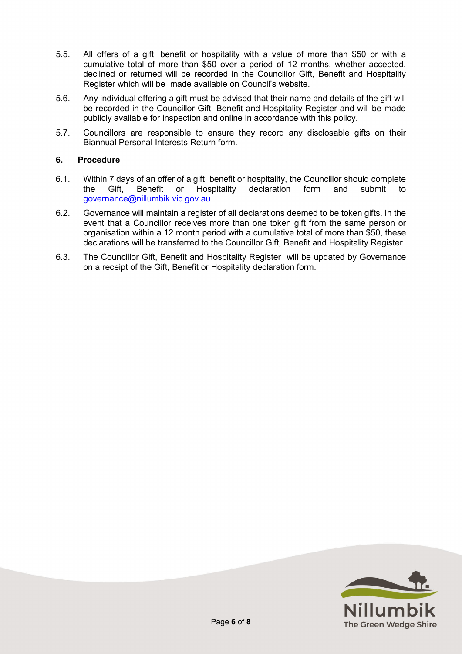- 5.5. All offers of a gift, benefit or hospitality with a value of more than \$50 or with a cumulative total of more than \$50 over a period of 12 months, whether accepted, declined or returned will be recorded in the Councillor Gift, Benefit and Hospitality Register which will be made available on Council's website.
- 5.6. Any individual offering a gift must be advised that their name and details of the gift will be recorded in the Councillor Gift, Benefit and Hospitality Register and will be made publicly available for inspection and online in accordance with this policy.
- 5.7. Councillors are responsible to ensure they record any disclosable gifts on their Biannual Personal Interests Return form.

#### **6. Procedure**

- 6.1. Within 7 days of an offer of a gift, benefit or hospitality, the Councillor should complete the Gift, Benefit or Hospitality declaration form and submit to [governance@nillumbik.vic.gov.au.](mailto:governance@nillumbik.vic.gov.au)
- 6.2. Governance will maintain a register of all declarations deemed to be token gifts. In the event that a Councillor receives more than one token gift from the same person or organisation within a 12 month period with a cumulative total of more than \$50, these declarations will be transferred to the Councillor Gift, Benefit and Hospitality Register.
- 6.3. The Councillor Gift, Benefit and Hospitality Register will be updated by Governance on a receipt of the Gift, Benefit or Hospitality declaration form.

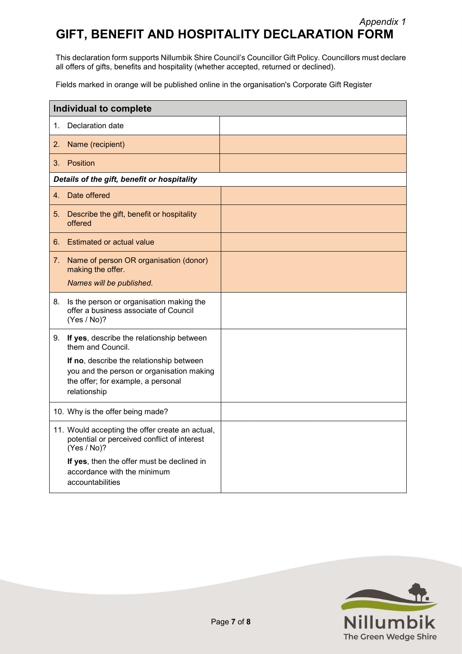# *Appendix 1* **GIFT, BENEFIT AND HOSPITALITY DECLARATION FORM**

This declaration form supports Nillumbik Shire Council's Councillor Gift Policy. Councillors must declare all offers of gifts, benefits and hospitality (whether accepted, returned or declined).

Fields marked in orange will be published online in the organisation's Corporate Gift Register

| <b>Individual to complete</b>               |                                                                                                                                             |  |  |  |
|---------------------------------------------|---------------------------------------------------------------------------------------------------------------------------------------------|--|--|--|
| 1.                                          | Declaration date                                                                                                                            |  |  |  |
| 2.                                          | Name (recipient)                                                                                                                            |  |  |  |
| 3.                                          | Position                                                                                                                                    |  |  |  |
| Details of the gift, benefit or hospitality |                                                                                                                                             |  |  |  |
| 4.                                          | Date offered                                                                                                                                |  |  |  |
| 5.                                          | Describe the gift, benefit or hospitality<br>offered                                                                                        |  |  |  |
| 6.                                          | Estimated or actual value                                                                                                                   |  |  |  |
| 7.                                          | Name of person OR organisation (donor)<br>making the offer.<br>Names will be published.                                                     |  |  |  |
| 8.                                          | Is the person or organisation making the<br>offer a business associate of Council<br>(Yes / No)?                                            |  |  |  |
| 9.                                          | If yes, describe the relationship between<br>them and Council.                                                                              |  |  |  |
|                                             | If no, describe the relationship between<br>you and the person or organisation making<br>the offer; for example, a personal<br>relationship |  |  |  |
|                                             | 10. Why is the offer being made?                                                                                                            |  |  |  |
|                                             | 11. Would accepting the offer create an actual,<br>potential or perceived conflict of interest<br>(Yes / No)?                               |  |  |  |
|                                             | If yes, then the offer must be declined in<br>accordance with the minimum<br>accountabilities                                               |  |  |  |